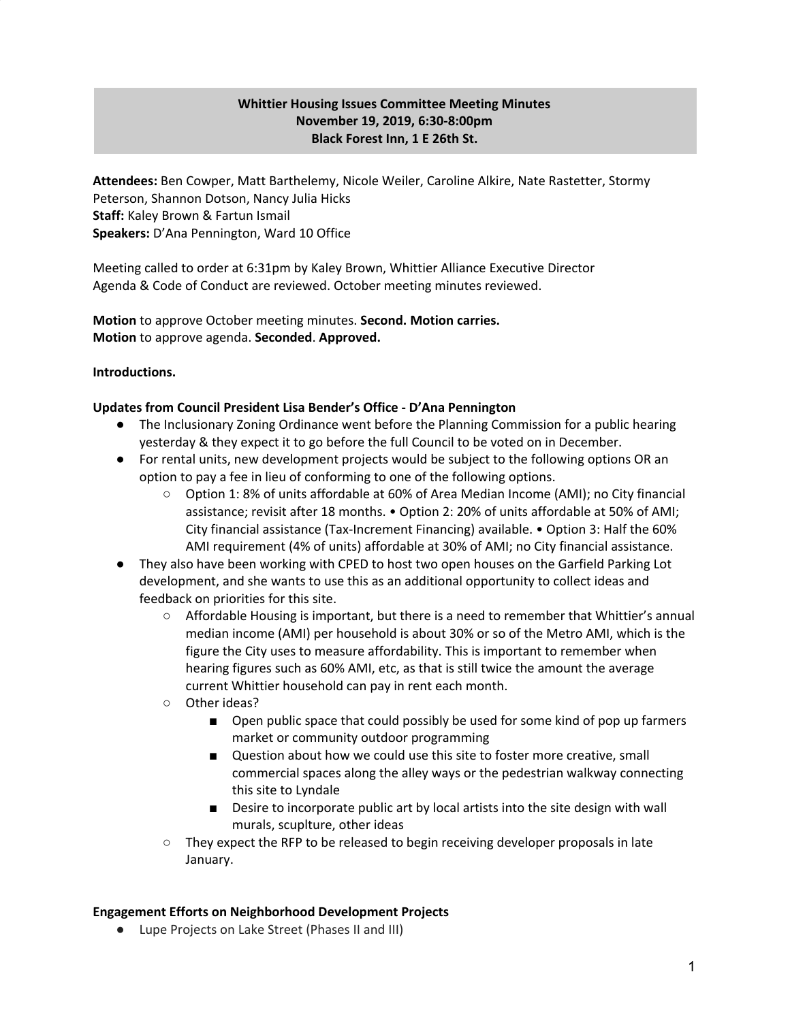# **Whittier Housing Issues Committee Meeting Minutes November 19, 2019, 6:30-8:00pm Black Forest Inn, 1 E 26th St.**

**Attendees:** Ben Cowper, Matt Barthelemy, Nicole Weiler, Caroline Alkire, Nate Rastetter, Stormy Peterson, Shannon Dotson, Nancy Julia Hicks **Staff:** Kaley Brown & Fartun Ismail **Speakers:** D'Ana Pennington, Ward 10 Office

Meeting called to order at 6:31pm by Kaley Brown, Whittier Alliance Executive Director Agenda & Code of Conduct are reviewed. October meeting minutes reviewed.

**Motion** to approve October meeting minutes. **Second. Motion carries. Motion** to approve agenda. **Seconded**. **Approved.**

# **Introductions.**

#### **Updates from Council President Lisa Bender's Office - D'Ana Pennington**

- The Inclusionary Zoning Ordinance went before the Planning Commission for a public hearing yesterday & they expect it to go before the full Council to be voted on in December.
- For rental units, new development projects would be subject to the following options OR an option to pay a fee in lieu of conforming to one of the following options.
	- Option 1: 8% of units affordable at 60% of Area Median Income (AMI); no City financial assistance; revisit after 18 months. • Option 2: 20% of units affordable at 50% of AMI; City financial assistance (Tax-Increment Financing) available. • Option 3: Half the 60% AMI requirement (4% of units) affordable at 30% of AMI; no City financial assistance.
- They also have been working with CPED to host two open houses on the Garfield Parking Lot development, and she wants to use this as an additional opportunity to collect ideas and feedback on priorities for this site.
	- Affordable Housing is important, but there is a need to remember that Whittier's annual median income (AMI) per household is about 30% or so of the Metro AMI, which is the figure the City uses to measure affordability. This is important to remember when hearing figures such as 60% AMI, etc, as that is still twice the amount the average current Whittier household can pay in rent each month.
	- Other ideas?
		- Open public space that could possibly be used for some kind of pop up farmers market or community outdoor programming
		- Question about how we could use this site to foster more creative, small commercial spaces along the alley ways or the pedestrian walkway connecting this site to Lyndale
		- Desire to incorporate public art by local artists into the site design with wall murals, scuplture, other ideas
	- They expect the RFP to be released to begin receiving developer proposals in late January.

#### **Engagement Efforts on Neighborhood Development Projects**

● Lupe Projects on Lake Street (Phases II and III)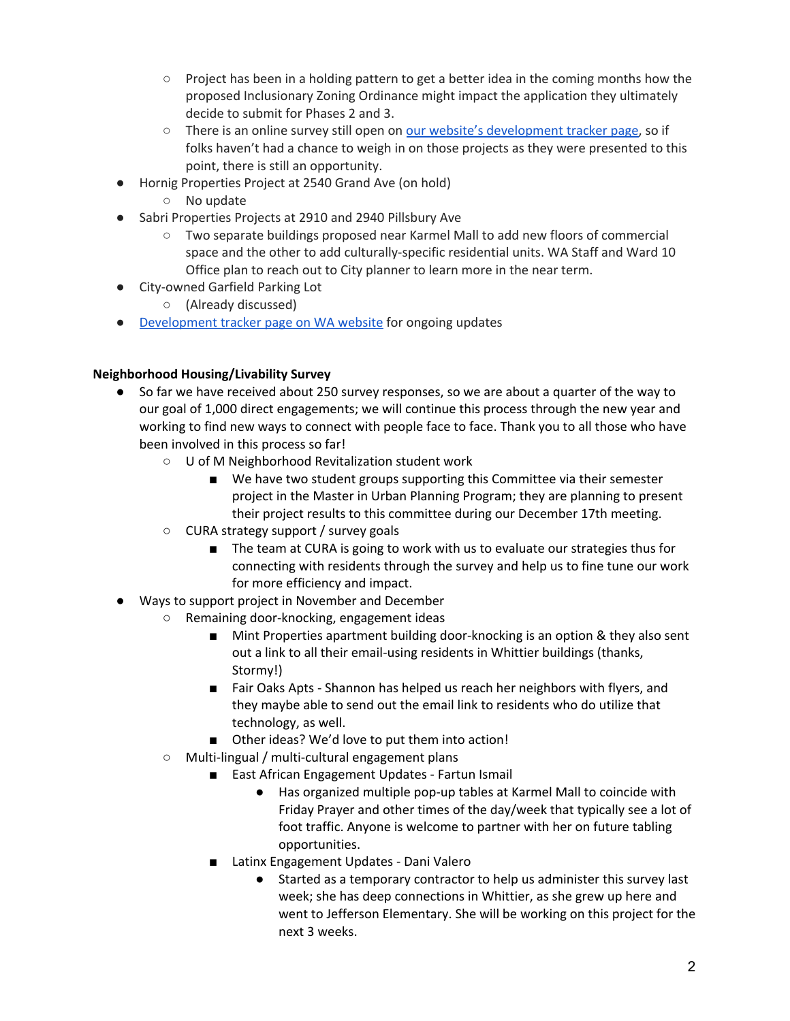- Project has been in a holding pattern to get a better idea in the coming months how the proposed Inclusionary Zoning Ordinance might impact the application they ultimately decide to submit for Phases 2 and 3.
- There is an online survey still open on our website's [development](http://www.whittieralliance.org/new-development-tracker.html) tracker page, so if folks haven't had a chance to weigh in on those projects as they were presented to this point, there is still an opportunity.
- Hornig Properties Project at 2540 Grand Ave (on hold)
	- No update
- Sabri Properties Projects at 2910 and 2940 Pillsbury Ave
	- Two separate buildings proposed near Karmel Mall to add new floors of commercial space and the other to add culturally-specific residential units. WA Staff and Ward 10 Office plan to reach out to City planner to learn more in the near term.
- City-owned Garfield Parking Lot
	- (Already discussed)
- [Development](http://www.whittieralliance.org/new-development-tracker.html) tracker page on WA website for ongoing updates

# **Neighborhood Housing/Livability Survey**

- So far we have received about 250 survey responses, so we are about a quarter of the way to our goal of 1,000 direct engagements; we will continue this process through the new year and working to find new ways to connect with people face to face. Thank you to all those who have been involved in this process so far!
	- U of M Neighborhood Revitalization student work
		- We have two student groups supporting this Committee via their semester project in the Master in Urban Planning Program; they are planning to present their project results to this committee during our December 17th meeting.
	- CURA strategy support / survey goals
		- The team at CURA is going to work with us to evaluate our strategies thus for connecting with residents through the survey and help us to fine tune our work for more efficiency and impact.
- Ways to support project in November and December
	- Remaining door-knocking, engagement ideas
		- Mint Properties apartment building door-knocking is an option & they also sent out a link to all their email-using residents in Whittier buildings (thanks, Stormy!)
		- Fair Oaks Apts Shannon has helped us reach her neighbors with flyers, and they maybe able to send out the email link to residents who do utilize that technology, as well.
		- Other ideas? We'd love to put them into action!
		- Multi-lingual / multi-cultural engagement plans
			- East African Engagement Updates Fartun Ismail
				- Has organized multiple pop-up tables at Karmel Mall to coincide with Friday Prayer and other times of the day/week that typically see a lot of foot traffic. Anyone is welcome to partner with her on future tabling opportunities.
			- Latinx Engagement Updates Dani Valero
				- Started as a temporary contractor to help us administer this survey last week; she has deep connections in Whittier, as she grew up here and went to Jefferson Elementary. She will be working on this project for the next 3 weeks.